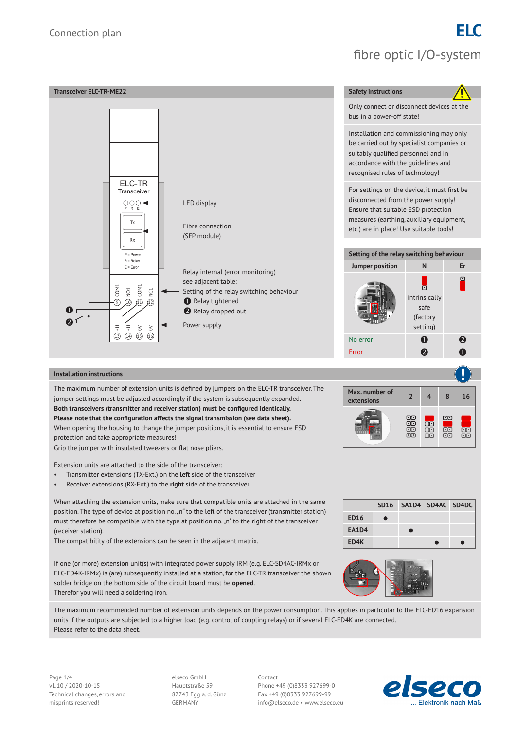

The maximum recommended number of extension units depends on the power consumption. This applies in particular to the ELC-ED16 expansion units if the outputs are subjected to a higher load (e.g. control of coupling relays) or if several ELC-ED4K are connected. Please refer to the data sheet.

Page 1/4 Contact v1.10 / 2020-10-15 Hauptstraße 59 Phone +49 (0)8333 927699-0 Technical changes, errors and 87743 Egg a. d. Günz Fax +49 (0)8333 927699-99

misprints reserved! GERMANY info@elseco.de • www.elseco.eu

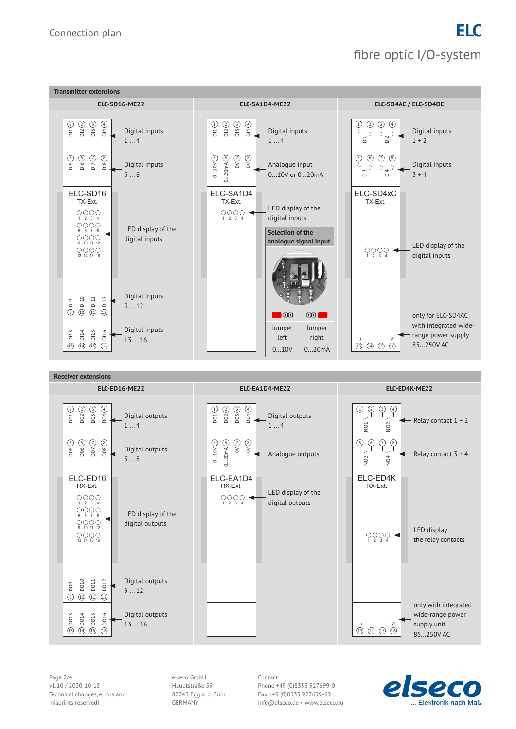

Page 2/4 Contact Contact Contact Contact Contact Contact Contact Contact Contact Technical changes, errors and 87743 Egg a. d. Günz Fax +49 (0)8333 927699-99

v1.10 / 2020-10-15 Hauptstraße 59 Phone +49 (0)8333 927699-0 misprints reserved! GERMANY info@elseco.de • www.elseco.eu

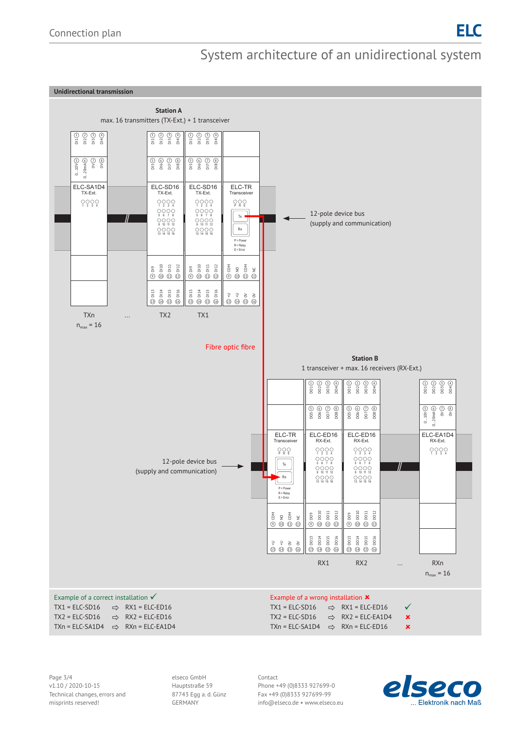## System architecture of an unidirectional system



Page 3/4 Contact Technical changes, errors and 87743 Egg a. d. Günz Fax +49 (0)8333 927699-99

v1.10 / 2020-10-15 Hauptstraße 59 Phone +49 (0)8333 927699-0 misprints reserved! GERMANY info@elseco.de • www.elseco.eu